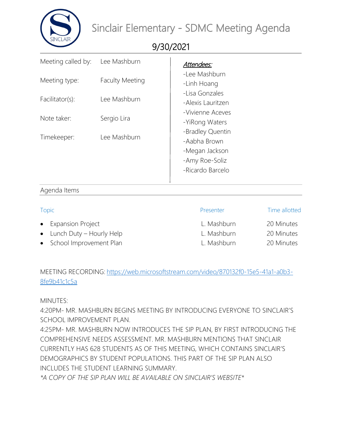

9/30/2021

| Meeting called by:               | Lee Mashburn                           | Attendees:                                                                               |
|----------------------------------|----------------------------------------|------------------------------------------------------------------------------------------|
| Meeting type:<br>Facilitator(s): | <b>Faculty Meeting</b><br>Lee Mashburn | -Lee Mashburn<br>-Linh Hoang<br>-Lisa Gonzales<br>-Alexis Lauritzen                      |
| Note taker:                      | Sergio Lira                            | -Vivienne Aceves<br>-YiRong Waters                                                       |
| Timekeeper:                      | Lee Mashburn                           | -Bradley Quentin<br>-Aabha Brown<br>-Megan Jackson<br>-Amy Roe-Soliz<br>-Ricardo Barcelo |

## Agenda Items

| Topic |                                    | Presenter   | Time allotted |
|-------|------------------------------------|-------------|---------------|
|       | • Expansion Project                | L. Mashburn | 20 Minutes    |
|       | $\bullet$ Lunch Duty – Hourly Help | L. Mashburn | 20 Minutes    |
|       | • School Improvement Plan          | L. Mashburn | 20 Minutes    |

## MEETING RECORDING: [https://web.microsoftstream.com/video/870132f0-15e5-41a1-a0b3-](https://web.microsoftstream.com/video/870132f0-15e5-41a1-a0b3-8fe9b41c1c5a) [8fe9b41c1c5a](https://web.microsoftstream.com/video/870132f0-15e5-41a1-a0b3-8fe9b41c1c5a)

MINUTES:

4:20PM- MR. MASHBURN BEGINS MEETING BY INTRODUCING EVERYONE TO SINCLAIR'S SCHOOL IMPROVEMENT PLAN.

4:25PM- MR. MASHBURN NOW INTRODUCES THE SIP PLAN, BY FIRST INTRODUCING THE COMPREHENSIVE NEEDS ASSESSMENT. MR. MASHBURN MENTIONS THAT SINCLAIR CURRENTLY HAS 628 STUDENTS AS OF THIS MEETING, WHICH CONTAINS SINCLAIR'S DEMOGRAPHICS BY STUDENT POPULATIONS. THIS PART OF THE SIP PLAN ALSO INCLUDES THE STUDENT LEARNING SUMMARY.

*\*A COPY OF THE SIP PLAN WILL BE AVAILABLE ON SINCLAIR'S WEBSITE\**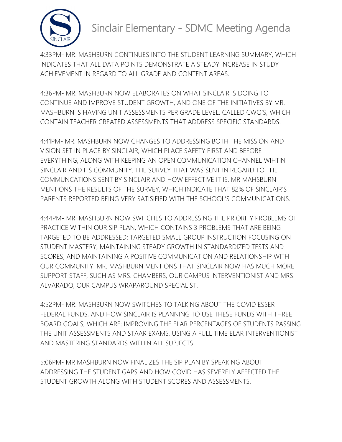

4:33PM- MR. MASHBURN CONTINUES INTO THE STUDENT LEARNING SUMMARY, WHICH INDICATES THAT ALL DATA POINTS DEMONSTRATE A STEADY INCREASE IN STUDY ACHIEVEMENT IN REGARD TO ALL GRADE AND CONTENT AREAS.

4:36PM- MR. MASHBURN NOW ELABORATES ON WHAT SINCLAIR IS DOING TO CONTINUE AND IMPROVE STUDENT GROWTH, AND ONE OF THE INITIATIVES BY MR. MASHBURN IS HAVING UNIT ASSESSMENTS PER GRADE LEVEL, CALLED CWQ'S, WHICH CONTAIN TEACHER CREATED ASSESSMENTS THAT ADDRESS SPECIFIC STANDARDS.

4:41PM- MR. MASHBURN NOW CHANGES TO ADDRESSING BOTH THE MISSION AND VISION SET IN PLACE BY SINCLAIR, WHICH PLACE SAFETY FIRST AND BEFORE EVERYTHING, ALONG WITH KEEPING AN OPEN COMMUNICATION CHANNEL WIHTIN SINCLAIR AND ITS COMMUNITY. THE SURVEY THAT WAS SENT IN REGARD TO THE COMMUNCATIONS SENT BY SINCLAIR AND HOW EFFECTIVE IT IS. MR MAHSBURN MENTIONS THE RESULTS OF THE SURVEY, WHICH INDICATE THAT 82% OF SINCLAIR'S PARENTS REPORTED BEING VERY SATISIFIED WITH THE SCHOOL'S COMMUNICATIONS.

4:44PM- MR. MASHBURN NOW SWITCHES TO ADDRESSING THE PRIORITY PROBLEMS OF PRACTICE WITHIN OUR SIP PLAN, WHICH CONTAINS 3 PROBLEMS THAT ARE BEING TARGETED TO BE ADDRESSED: TARGETED SMALL GROUP INSTRUCTION FOCUSING ON STUDENT MASTERY, MAINTAINING STEADY GROWTH IN STANDARDIZED TESTS AND SCORES, AND MAINTAINING A POSITIVE COMMUNICATION AND RELATIONSHIP WITH OUR COMMUNITY. MR. MASHBURN MENTIONS THAT SINCLAIR NOW HAS MUCH MORE SUPPORT STAFF, SUCH AS MRS. CHAMBERS, OUR CAMPUS INTERVENTIONIST AND MRS. ALVARADO, OUR CAMPUS WRAPAROUND SPECIALIST.

4:52PM- MR. MASHBURN NOW SWITCHES TO TALKING ABOUT THE COVID ESSER FEDERAL FUNDS, AND HOW SINCLAIR IS PLANNING TO USE THESE FUNDS WITH THREE BOARD GOALS, WHICH ARE: IMPROVING THE ELAR PERCENTAGES OF STUDENTS PASSING THE UNIT ASSESSMENTS AND STAAR EXAMS, USING A FULL TIME ELAR INTERVENTIONIST AND MASTERING STANDARDS WITHIN ALL SUBJECTS.

5:06PM- MR MASHBURN NOW FINALIZES THE SIP PLAN BY SPEAKING ABOUT ADDRESSING THE STUDENT GAPS AND HOW COVID HAS SEVERELY AFFECTED THE STUDENT GROWTH ALONG WITH STUDENT SCORES AND ASSESSMENTS.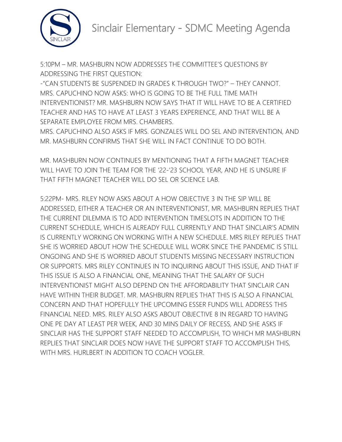

5:10PM – MR. MASHBURN NOW ADDRESSES THE COMMITTEE'S QUESTIONS BY ADDRESSING THE FIRST QUESTION:

-"CAN STUDENTS BE SUSPENDED IN GRADES K THROUGH TWO?" – THEY CANNOT. MRS. CAPUCHINO NOW ASKS: WHO IS GOING TO BE THE FULL TIME MATH INTERVENTIONIST? MR. MASHBURN NOW SAYS THAT IT WILL HAVE TO BE A CERTIFIED TEACHER AND HAS TO HAVE AT LEAST 3 YEARS EXPERIENCE, AND THAT WILL BE A SEPARATE EMPLOYEE FROM MRS. CHAMBERS.

MRS. CAPUCHINO ALSO ASKS IF MRS. GONZALES WILL DO SEL AND INTERVENTION, AND MR. MASHBURN CONFIRMS THAT SHE WILL IN FACT CONTINUE TO DO BOTH.

MR. MASHBURN NOW CONTINUES BY MENTIONING THAT A FIFTH MAGNET TEACHER WILL HAVE TO JOIN THE TEAM FOR THE '22-'23 SCHOOL YEAR, AND HE IS UNSURE IF THAT FIFTH MAGNET TEACHER WILL DO SEL OR SCIENCE LAB.

5:22PM- MRS. RILEY NOW ASKS ABOUT A HOW OBJECTIVE 3 IN THE SIP WILL BE ADDRESSED, EITHER A TEACHER OR AN INTERVENTIONIST, MR. MASHBURN REPLIES THAT THE CURRENT DILEMMA IS TO ADD INTERVENTION TIMESLOTS IN ADDITION TO THE CURRENT SCHEDULE, WHICH IS ALREADY FULL CURRENTLY AND THAT SINCLAIR'S ADMIN IS CURRENTLY WORKING ON WORKING WITH A NEW SCHEDULE. MRS RILEY REPLIES THAT SHE IS WORRIED ABOUT HOW THE SCHEDULE WILL WORK SINCE THE PANDEMIC IS STILL ONGOING AND SHE IS WORRIED ABOUT STUDENTS MISSING NECESSARY INSTRUCTION OR SUPPORTS. MRS RILEY CONTINUES IN TO INQUIRING ABOUT THIS ISSUE, AND THAT IF THIS ISSUE IS ALSO A FINANCIAL ONE, MEANING THAT THE SALARY OF SUCH INTERVENTIONIST MIGHT ALSO DEPEND ON THE AFFORDABILITY THAT SINCLAIR CAN HAVE WITHIN THEIR BUDGET. MR. MASHBURN REPLIES THAT THIS IS ALSO A FINANCIAL CONCERN AND THAT HOPEFULLY THE UPCOMING ESSER FUNDS WILL ADDRESS THIS FINANCIAL NEED. MRS. RILEY ALSO ASKS ABOUT OBJECTIVE 8 IN REGARD TO HAVING ONE PE DAY AT LEAST PER WEEK, AND 30 MINS DAILY OF RECESS, AND SHE ASKS IF SINCLAIR HAS THE SUPPORT STAFF NEEDED TO ACCOMPLISH, TO WHICH MR MASHBURN REPLIES THAT SINCLAIR DOES NOW HAVE THE SUPPORT STAFF TO ACCOMPLISH THIS, WITH MRS. HURLBERT IN ADDITION TO COACH VOGLER.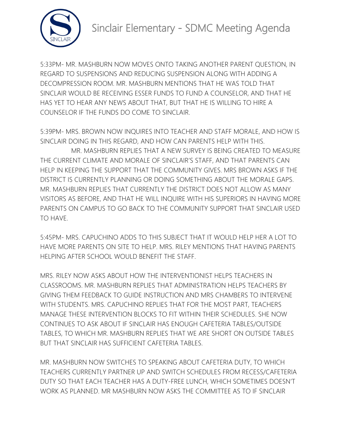

5:33PM- MR. MASHBURN NOW MOVES ONTO TAKING ANOTHER PARENT QUESTION, IN REGARD TO SUSPENSIONS AND REDUCING SUSPENSION ALONG WITH ADDING A DECOMPRESSION ROOM. MR. MASHBURN MENTIONS THAT HE WAS TOLD THAT SINCLAIR WOULD BE RECEIVING ESSER FUNDS TO FUND A COUNSELOR, AND THAT HE HAS YET TO HEAR ANY NEWS ABOUT THAT, BUT THAT HE IS WILLING TO HIRE A COUNSELOR IF THE FUNDS DO COME TO SINCLAIR.

5:39PM- MRS. BROWN NOW INQUIRES INTO TEACHER AND STAFF MORALE, AND HOW IS SINCLAIR DOING IN THIS REGARD, AND HOW CAN PARENTS HELP WITH THIS.

MR. MASHBURN REPLIES THAT A NEW SURVEY IS BEING CREATED TO MEASURE THE CURRENT CLIMATE AND MORALE OF SINCLAIR'S STAFF, AND THAT PARENTS CAN HELP IN KEEPING THE SUPPORT THAT THE COMMUNITY GIVES. MRS BROWN ASKS IF THE DISTRICT IS CURRENTLY PLANNING OR DOING SOMETHING ABOUT THE MORALE GAPS. MR. MASHBURN REPLIES THAT CURRENTLY THE DISTRICT DOES NOT ALLOW AS MANY VISITORS AS BEFORE, AND THAT HE WILL INQUIRE WITH HIS SUPERIORS IN HAVING MORE PARENTS ON CAMPUS TO GO BACK TO THE COMMUNITY SUPPORT THAT SINCLAIR USED TO HAVE.

5:45PM- MRS. CAPUCHINO ADDS TO THIS SUBJECT THAT IT WOULD HELP HER A LOT TO HAVE MORE PARENTS ON SITE TO HELP. MRS. RILEY MENTIONS THAT HAVING PARENTS HELPING AFTER SCHOOL WOULD BENEFIT THE STAFF.

MRS. RILEY NOW ASKS ABOUT HOW THE INTERVENTIONIST HELPS TEACHERS IN CLASSROOMS. MR. MASHBURN REPLIES THAT ADMINISTRATION HELPS TEACHERS BY GIVING THEM FEEDBACK TO GUIDE INSTRUCTION AND MRS CHAMBERS TO INTERVENE WITH STUDENTS. MRS. CAPUCHINO REPLIES THAT FOR THE MOST PART, TEACHERS MANAGE THESE INTERVENTION BLOCKS TO FIT WITHIN THEIR SCHEDULES. SHE NOW CONTINUES TO ASK ABOUT IF SINCLAIR HAS ENOUGH CAFETERIA TABLES/OUTSIDE TABLES, TO WHICH MR. MASHBURN REPLIES THAT WE ARE SHORT ON OUTSIDE TABLES BUT THAT SINCLAIR HAS SUFFICIENT CAFETERIA TABLES.

MR. MASHBURN NOW SWITCHES TO SPEAKING ABOUT CAFETERIA DUTY, TO WHICH TEACHERS CURRENTLY PARTNER UP AND SWITCH SCHEDULES FROM RECESS/CAFETERIA DUTY SO THAT EACH TEACHER HAS A DUTY-FREE LUNCH, WHICH SOMETIMES DOESN'T WORK AS PLANNED. MR MASHBURN NOW ASKS THE COMMITTEE AS TO IF SINCLAIR